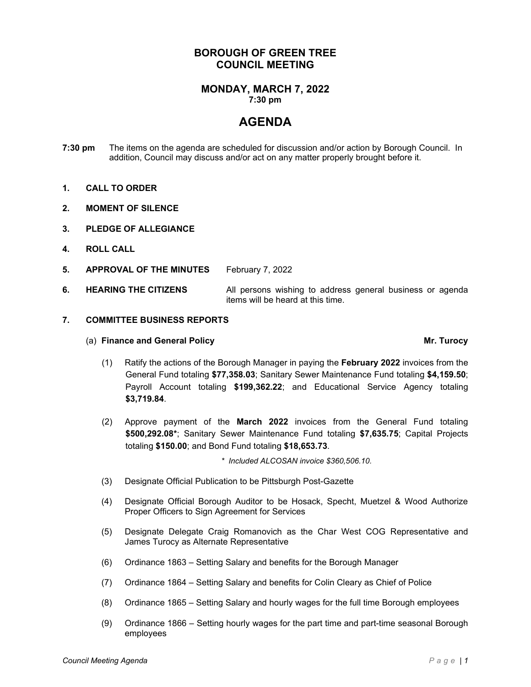## **BOROUGH OF GREEN TREE COUNCIL MEETING**

#### **MONDAY, MARCH 7, 2022 7:30 pm**

# **AGENDA**

- **7:30 pm** The items on the agenda are scheduled for discussion and/or action by Borough Council. In addition, Council may discuss and/or act on any matter properly brought before it.
- **1. CALL TO ORDER**
- **2. MOMENT OF SILENCE**
- **3. PLEDGE OF ALLEGIANCE**
- **4. ROLL CALL**
- **5. APPROVAL OF THE MINUTES** February 7, 2022
- **6. HEARING THE CITIZENS** All persons wishing to address general business or agenda items will be heard at this time.

#### **7. COMMITTEE BUSINESS REPORTS**

### (a) **Finance and General Policy Mr. Turocy**

- (1) Ratify the actions of the Borough Manager in paying the **February 2022** invoices from the General Fund totaling **\$77,358.03**; Sanitary Sewer Maintenance Fund totaling **\$4,159.50**; Payroll Account totaling **\$199,362.22**; and Educational Service Agency totaling **\$3,719.84**.
- (2) Approve payment of the **March 2022** invoices from the General Fund totaling **\$500,292.08\***; Sanitary Sewer Maintenance Fund totaling **\$7,635.75**; Capital Projects totaling **\$150.00**; and Bond Fund totaling **\$18,653.73**.

*\* Included ALCOSAN invoice \$360,506.10.*

- (3) Designate Official Publication to be Pittsburgh Post-Gazette
- (4) Designate Official Borough Auditor to be Hosack, Specht, Muetzel & Wood Authorize Proper Officers to Sign Agreement for Services
- (5) Designate Delegate Craig Romanovich as the Char West COG Representative and James Turocy as Alternate Representative
- (6) Ordinance 1863 Setting Salary and benefits for the Borough Manager
- (7) Ordinance 1864 Setting Salary and benefits for Colin Cleary as Chief of Police
- (8) Ordinance 1865 Setting Salary and hourly wages for the full time Borough employees
- (9) Ordinance 1866 Setting hourly wages for the part time and part-time seasonal Borough employees